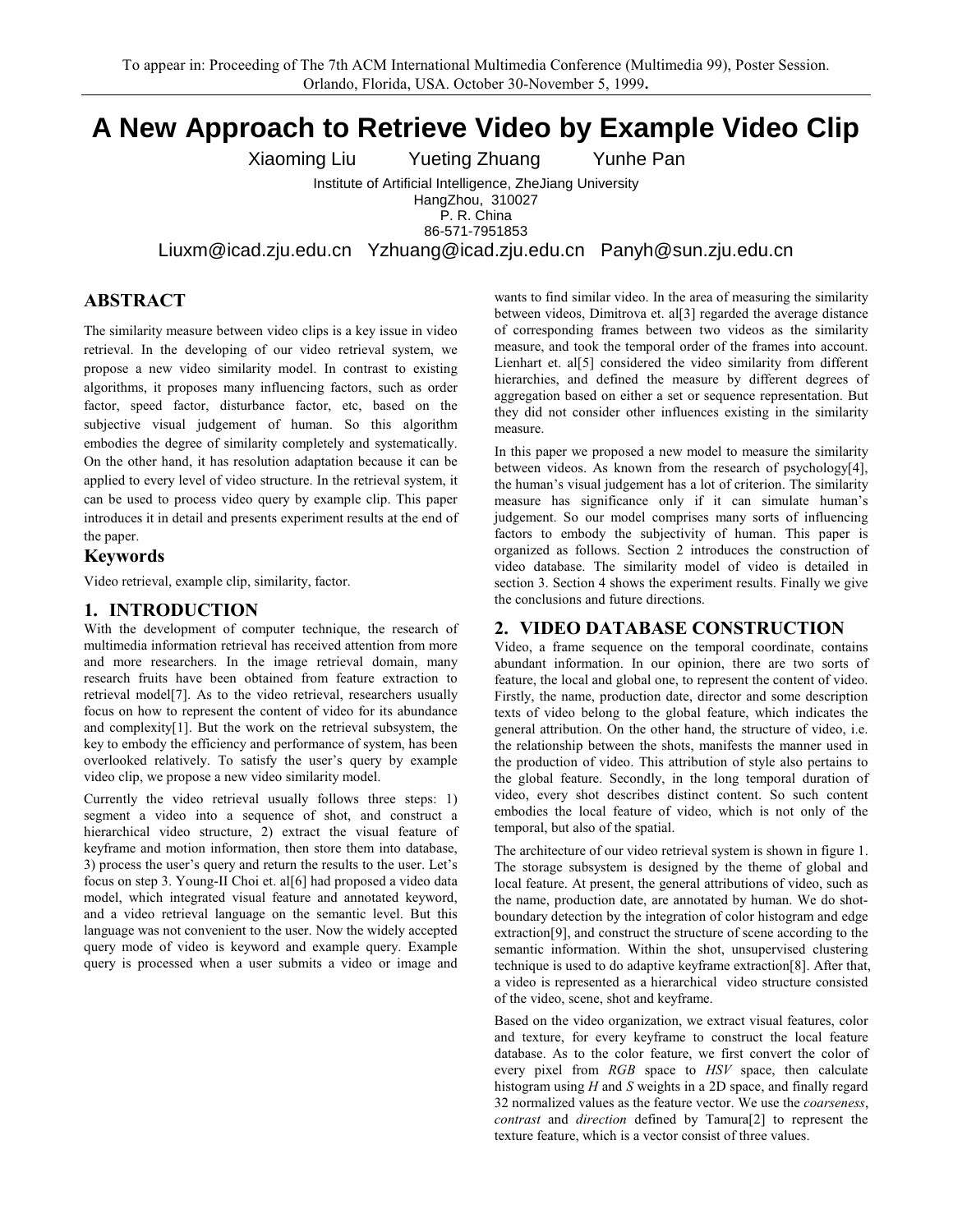# A New Approach to Retrieve Video by Example Video Clip

Yunhe Pan Xiaoming Liu **Yueting Zhuang** 

> Institute of Artificial Intelligence, ZheJiang University HangZhou, 310027

P. R. China

86-571-7951853

Liuxm@icad.zju.edu.cn Yzhuang@icad.zju.edu.cn Panyh@sun.zju.edu.cn

# **ABSTRACT**

The similarity measure between video clips is a key issue in video retrieval. In the developing of our video retrieval system, we propose a new video similarity model. In contrast to existing algorithms, it proposes many influencing factors, such as order factor, speed factor, disturbance factor, etc, based on the subjective visual judgement of human. So this algorithm embodies the degree of similarity completely and systematically. On the other hand, it has resolution adaptation because it can be applied to every level of video structure. In the retrieval system, it can be used to process video query by example clip. This paper introduces it in detail and presents experiment results at the end of the paper.

## **Keywords**

Video retrieval, example clip, similarity, factor.

## 1. INTRODUCTION

With the development of computer technique, the research of multimedia information retrieval has received attention from more and more researchers. In the image retrieval domain, many research fruits have been obtained from feature extraction to retrieval model<sup>[7]</sup>. As to the video retrieval, researchers usually focus on how to represent the content of video for its abundance and complexity[1]. But the work on the retrieval subsystem, the key to embody the efficiency and performance of system, has been overlooked relatively. To satisfy the user's query by example video clip, we propose a new video similarity model.

Currently the video retrieval usually follows three steps: 1) segment a video into a sequence of shot, and construct a hierarchical video structure, 2) extract the visual feature of keyframe and motion information, then store them into database, 3) process the user's query and return the results to the user. Let's focus on step 3. Young-II Choi et. al[6] had proposed a video data model, which integrated visual feature and annotated keyword, and a video retrieval language on the semantic level. But this language was not convenient to the user. Now the widely accepted query mode of video is keyword and example query. Example query is processed when a user submits a video or image and

wants to find similar video. In the area of measuring the similarity between videos, Dimitrova et. al[3] regarded the average distance of corresponding frames between two videos as the similarity measure, and took the temporal order of the frames into account. Lienhart et. al<sup>[5]</sup> considered the video similarity from different hierarchies, and defined the measure by different degrees of aggregation based on either a set or sequence representation. But they did not consider other influences existing in the similarity measure.

In this paper we proposed a new model to measure the similarity between videos. As known from the research of psychology[4], the human's visual judgement has a lot of criterion. The similarity measure has significance only if it can simulate human's judgement. So our model comprises many sorts of influencing factors to embody the subjectivity of human. This paper is organized as follows. Section 2 introduces the construction of video database. The similarity model of video is detailed in section 3. Section 4 shows the experiment results. Finally we give the conclusions and future directions.

# 2. VIDEO DATABASE CONSTRUCTION

Video, a frame sequence on the temporal coordinate, contains abundant information. In our opinion, there are two sorts of feature, the local and global one, to represent the content of video. Firstly, the name, production date, director and some description texts of video belong to the global feature, which indicates the general attribution. On the other hand, the structure of video, i.e. the relationship between the shots, manifests the manner used in the production of video. This attribution of style also pertains to the global feature. Secondly, in the long temporal duration of video, every shot describes distinct content. So such content embodies the local feature of video, which is not only of the temporal, but also of the spatial.

The architecture of our video retrieval system is shown in figure 1. The storage subsystem is designed by the theme of global and local feature. At present, the general attributions of video, such as the name, production date, are annotated by human. We do shotboundary detection by the integration of color histogram and edge extraction<sup>[9]</sup>, and construct the structure of scene according to the semantic information. Within the shot, unsupervised clustering technique is used to do adaptive keyframe extraction[8]. After that, a video is represented as a hierarchical video structure consisted of the video, scene, shot and keyframe.

Based on the video organization, we extract visual features, color and texture, for every keyframe to construct the local feature database. As to the color feature, we first convert the color of every pixel from RGB space to HSV space, then calculate histogram using  $H$  and  $S$  weights in a 2D space, and finally regard 32 normalized values as the feature vector. We use the *coarseness*, contrast and direction defined by Tamura[2] to represent the texture feature, which is a vector consist of three values.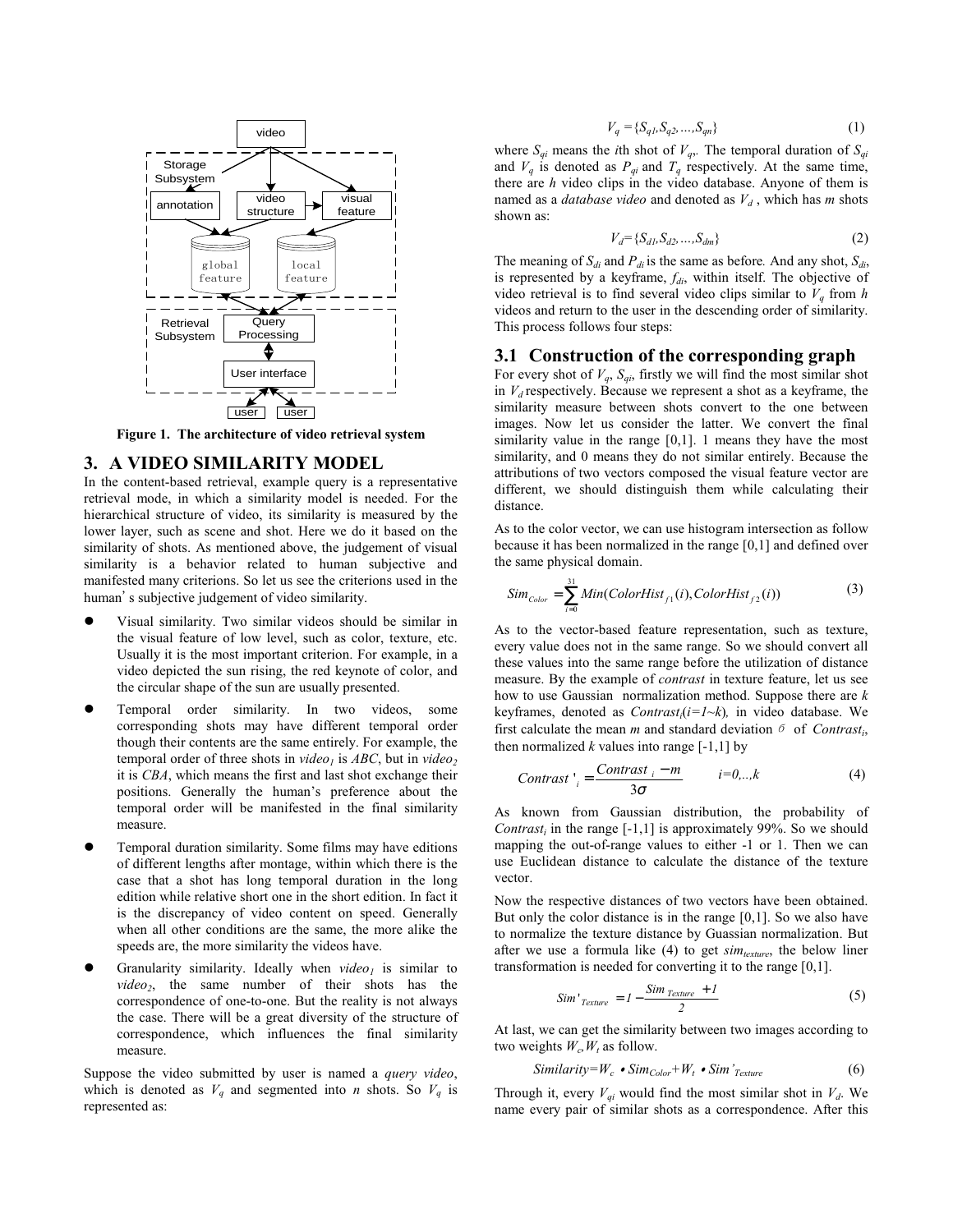

Figure 1. The architecture of video retrieval system

#### 3. A VIDEO SIMILARITY MODEL

In the content-based retrieval, example query is a representative retrieval mode, in which a similarity model is needed. For the hierarchical structure of video, its similarity is measured by the lower layer, such as scene and shot. Here we do it based on the similarity of shots. As mentioned above, the judgement of visual similarity is a behavior related to human subjective and manifested many criterions. So let us see the criterions used in the human's subjective judgement of video similarity.

- Visual similarity. Two similar videos should be similar in the visual feature of low level, such as color, texture, etc. Usually it is the most important criterion. For example, in a video depicted the sun rising, the red keynote of color, and the circular shape of the sun are usually presented.
- Temporal order similarity. In two videos, some corresponding shots may have different temporal order though their contents are the same entirely. For example, the temporal order of three shots in video<sub>l</sub> is ABC, but in video<sub>2</sub> it is CBA, which means the first and last shot exchange their positions. Generally the human's preference about the temporal order will be manifested in the final similarity measure.
- Temporal duration similarity. Some films may have editions of different lengths after montage, within which there is the case that a shot has long temporal duration in the long edition while relative short one in the short edition. In fact it is the discrepancy of video content on speed. Generally when all other conditions are the same, the more alike the speeds are, the more similarity the videos have.
- Granularity similarity. Ideally when  $video<sub>l</sub>$  is similar to video<sub>2</sub>, the same number of their shots has the correspondence of one-to-one. But the reality is not always the case. There will be a great diversity of the structure of correspondence, which influences the final similarity measure.

Suppose the video submitted by user is named a query video, which is denoted as  $V_q$  and segmented into *n* shots. So  $V_q$  is represented as:

$$
V_q = \{S_{q1}, S_{q2}, \dots, S_{qn}\}\tag{1}
$$

where  $S_{qi}$  means the *i*th shot of  $V_q$ . The temporal duration of  $S_{qi}$ and  $V_q$  is denoted as  $P_{qi}$  and  $T_q$  respectively. At the same time, there are  $h$  video clips in the video database. Anyone of them is named as a *database video* and denoted as  $V_d$ , which has m shots shown as:

$$
V_d = \{S_{d1}, S_{d2}, \dots, S_{dm}\}\tag{2}
$$

The meaning of  $S_{di}$  and  $P_{di}$  is the same as before. And any shot,  $S_{di}$ , is represented by a keyframe,  $f_{di}$ , within itself. The objective of video retrieval is to find several video clips similar to  $V_q$  from h videos and return to the user in the descending order of similarity. This process follows four steps:

#### 3.1 Construction of the corresponding graph

For every shot of  $V_q$ ,  $S_{qi}$ , firstly we will find the most similar shot in  $V_d$  respectively. Because we represent a shot as a keyframe, the similarity measure between shots convert to the one between images. Now let us consider the latter. We convert the final similarity value in the range  $[0,1]$ . 1 means they have the most similarity, and 0 means they do not similar entirely. Because the attributions of two vectors composed the visual feature vector are different, we should distinguish them while calculating their distance.

As to the color vector, we can use histogram intersection as follow because it has been normalized in the range  $[0,1]$  and defined over the same physical domain.

$$
Sim_{Color} = \sum_{i=0}^{31} Min(ColorHist_{f1}(i), ColorHist_{f2}(i))
$$
\n(3)

As to the vector-based feature representation, such as texture, every value does not in the same range. So we should convert all these values into the same range before the utilization of distance measure. By the example of *contrast* in texture feature, let us see how to use Gaussian normalization method. Suppose there are  $k$ keyframes, denoted as  $Contrast_i(i=1-k)$ , in video database. We first calculate the mean *m* and standard deviation  $\delta$  of *Contrast<sub>i</sub>*, then normalized k values into range  $[-1,1]$  by

$$
Contrast \, \big|_{i} = \frac{Contrast \, \, i - m}{3\sigma} \qquad i = 0, \dots, k \tag{4}
$$

As known from Gaussian distribution, the probability of *Contrast<sub>i</sub>* in the range  $[-1,1]$  is approximately 99%. So we should mapping the out-of-range values to either -1 or 1. Then we can use Euclidean distance to calculate the distance of the texture vector.

Now the respective distances of two vectors have been obtained. But only the color distance is in the range  $[0,1]$ . So we also have to normalize the texture distance by Guassian normalization. But after we use a formula like  $(4)$  to get  $sim_{text{texture}}$ , the below liner transformation is needed for converting it to the range  $[0,1]$ .

$$
Sim'_{Texture} = I - \frac{Sim_{Texture} + I}{2}
$$
 (5)

At last, we can get the similarity between two images according to two weights  $W_c$ ,  $W_t$  as follow.

$$
Similarity = W_c \cdot Sim_{Color} + W_t \cdot Sim'_{Texture}
$$
 (6)

Through it, every  $V_{qi}$  would find the most similar shot in  $V_{d}$ . We name every pair of similar shots as a correspondence. After this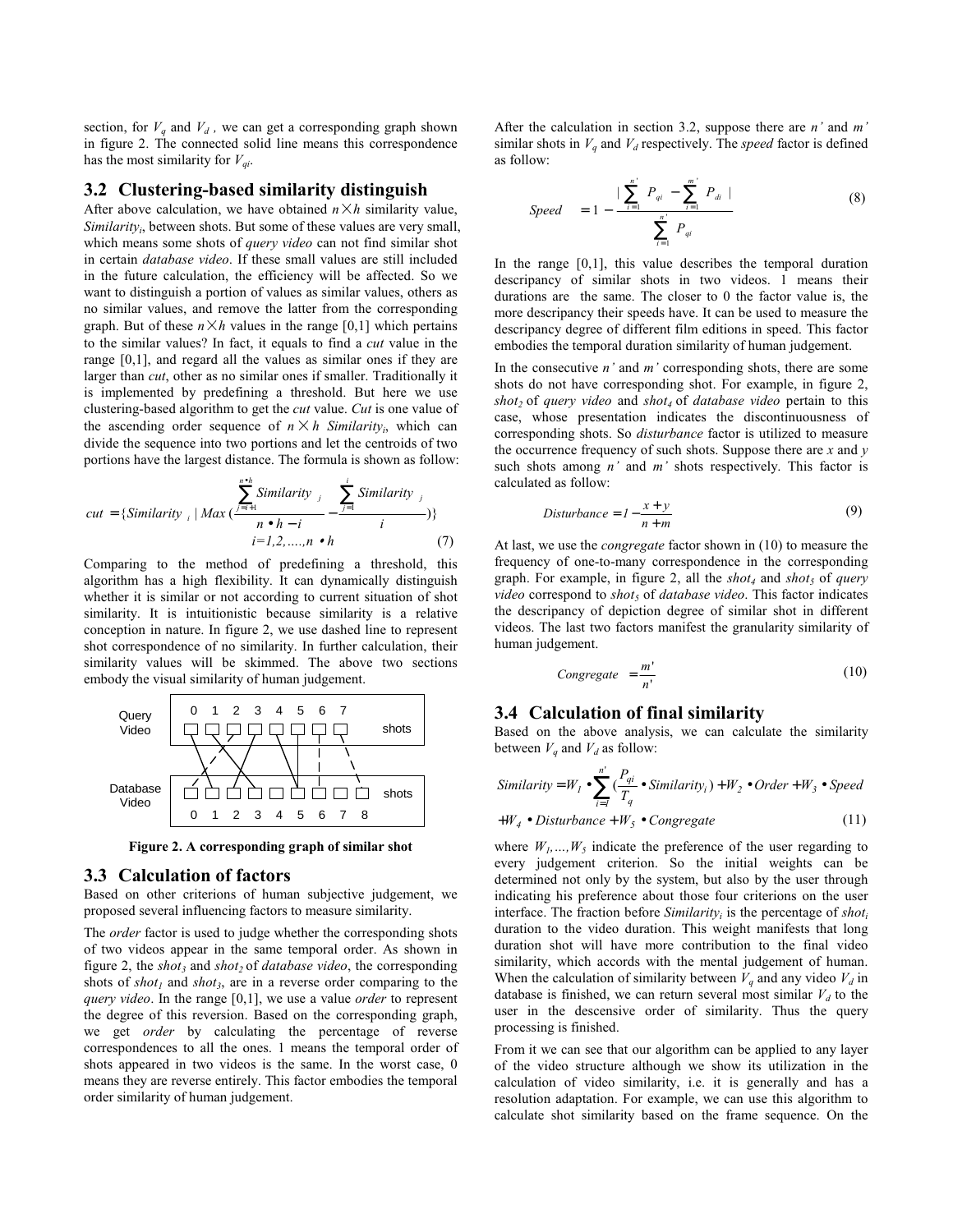section, for  $V_q$  and  $V_d$ , we can get a corresponding graph shown in figure 2. The connected solid line means this correspondence has the most similarity for  $V_{ai}$ .

#### 3.2 Clustering-based similarity distinguish

After above calculation, we have obtained  $n \times h$  similarity value, Similarity, between shots. But some of these values are very small. which means some shots of *query video* can not find similar shot in certain *database video*. If these small values are still included in the future calculation, the efficiency will be affected. So we want to distinguish a portion of values as similar values, others as no similar values, and remove the latter from the corresponding graph. But of these  $n \times h$  values in the range [0,1] which pertains to the similar values? In fact, it equals to find a cut value in the range  $[0,1]$ , and regard all the values as similar ones if they are larger than *cut*, other as no similar ones if smaller. Traditionally it is implemented by predefining a threshold. But here we use clustering-based algorithm to get the *cut* value. Cut is one value of the ascending order sequence of  $n \times h$  Similarity<sub>i</sub>, which can divide the sequence into two portions and let the centroids of two portions have the largest distance. The formula is shown as follow:

$$
cut = \{Similarity_{i} | Max\left(\frac{\sum_{j=i+1}^{n} Similarity_{j}}{n \cdot h - i} - \frac{\sum_{j=1}^{i} Similarity_{j}}{i}\right)\}
$$
  

$$
i = 1, 2, ..., n \cdot h
$$
 (7)

Comparing to the method of predefining a threshold, this algorithm has a high flexibility. It can dynamically distinguish whether it is similar or not according to current situation of shot similarity. It is intuitionistic because similarity is a relative conception in nature. In figure 2, we use dashed line to represent shot correspondence of no similarity. In further calculation, their similarity values will be skimmed. The above two sections embody the visual similarity of human judgement.



Figure 2. A corresponding graph of similar shot

# 3.3 Calculation of factors

Based on other criterions of human subjective judgement, we proposed several influencing factors to measure similarity.

The order factor is used to judge whether the corresponding shots of two videos appear in the same temporal order. As shown in figure 2, the  $shot_3$  and  $shot_2$  of *database video*, the corresponding shots of  $shot_1$  and  $shot_3$ , are in a reverse order comparing to the query video. In the range  $[0,1]$ , we use a value order to represent the degree of this reversion. Based on the corresponding graph, we get *order* by calculating the percentage of reverse correspondences to all the ones. 1 means the temporal order of shots appeared in two videos is the same. In the worst case, 0 means they are reverse entirely. This factor embodies the temporal order similarity of human judgement.

After the calculation in section 3.2, suppose there are  $n'$  and  $m'$ similar shots in  $V_a$  and  $V_d$  respectively. The *speed* factor is defined as follow.

Speed 
$$
= 1 - \frac{\sum_{i=1}^{n} P_{qi} - \sum_{i=1}^{m} P_{di}}{\sum_{i=1}^{n} P_{qi}}
$$
 (8)

In the range  $[0,1]$ , this value describes the temporal duration descripancy of similar shots in two videos. 1 means their durations are the same. The closer to  $0$  the factor value is, the more descripancy their speeds have. It can be used to measure the descripancy degree of different film editions in speed. This factor embodies the temporal duration similarity of human judgement.

In the consecutive  $n'$  and  $m'$  corresponding shots, there are some shots do not have corresponding shot. For example, in figure 2, shot<sub>2</sub> of query video and shot<sub>4</sub> of database video pertain to this case, whose presentation indicates the discontinuousness of corresponding shots. So *disturbance* factor is utilized to measure the occurrence frequency of such shots. Suppose there are  $x$  and  $y$ such shots among  $n'$  and  $m'$  shots respectively. This factor is calculated as follow:

$$
Disturbance = 1 - \frac{x + y}{n + m}
$$
\n(9)

At last, we use the *congregate* factor shown in (10) to measure the frequency of one-to-many correspondence in the corresponding graph. For example, in figure 2, all the  $shot_4$  and  $shot_5$  of *query video* correspond to *shot*, of *database video*. This factor indicates the descripancy of depiction degree of similar shot in different videos. The last two factors manifest the granularity similarity of human judgement.

$$
Congregate = \frac{m'}{n'}
$$
 (10)

#### 3.4 Calculation of final similarity

Based on the above analysis, we can calculate the similarity between  $V_q$  and  $V_d$  as follow:

Similarly = 
$$
W_1 \bullet \sum_{i=1}^{n'} \left(\frac{P_{qi}}{T_q} \bullet \text{Similarity}_i\right) + W_2 \bullet \text{Order} + W_3 \bullet \text{Speed}
$$

$$
+W_4 \bullet Disturbance + W_5 \bullet Congregate
$$
 (11)

where  $W_1, ..., W_5$  indicate the preference of the user regarding to every judgement criterion. So the initial weights can be determined not only by the system, but also by the user through indicating his preference about those four criterions on the user interface. The fraction before  $Similarity_i$  is the percentage of  $shot_i$ duration to the video duration. This weight manifests that long duration shot will have more contribution to the final video similarity, which accords with the mental judgement of human. When the calculation of similarity between  $V_q$  and any video  $V_d$  in database is finished, we can return several most similar  $V_d$  to the user in the descensive order of similarity. Thus the query processing is finished.

From it we can see that our algorithm can be applied to any layer of the video structure although we show its utilization in the calculation of video similarity, i.e. it is generally and has a resolution adaptation. For example, we can use this algorithm to calculate shot similarity based on the frame sequence. On the